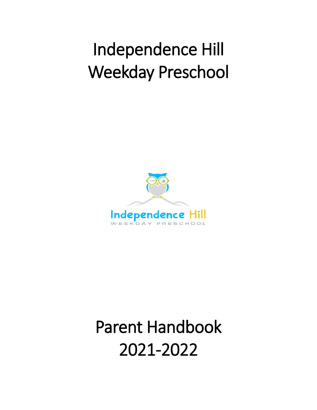# Independence Hill Weekday Preschool



# Parent Handbook 2021-2022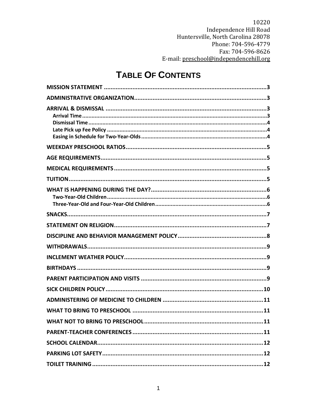# **TABLE OF CONTENTS**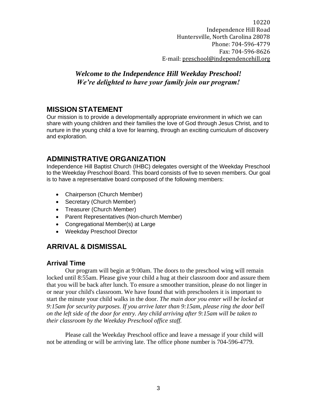### *Welcome to the Independence Hill Weekday Preschool! We're delighted to have your family join our program!*

#### <span id="page-3-0"></span>**MISSION STATEMENT**

Our mission is to provide a developmentally appropriate environment in which we can share with young children and their families the love of God through Jesus Christ, and to nurture in the young child a love for learning, through an exciting curriculum of discovery and exploration.

# <span id="page-3-1"></span>**ADMINISTRATIVE ORGANIZATION**

Independence Hill Baptist Church (IHBC) delegates oversight of the Weekday Preschool to the Weekday Preschool Board. This board consists of five to seven members. Our goal is to have a representative board composed of the following members:

- Chairperson (Church Member)
- Secretary (Church Member)
- Treasurer (Church Member)
- Parent Representatives (Non-church Member)
- Congregational Member(s) at Large
- Weekday Preschool Director

# <span id="page-3-2"></span>**ARRIVAL & DISMISSAL**

#### <span id="page-3-3"></span>**Arrival Time**

Our program will begin at 9:00am. The doors to the preschool wing will remain locked until 8:55am. Please give your child a hug at their classroom door and assure them that you will be back after lunch. To ensure a smoother transition, please do not linger in or near your child's classroom. We have found that with preschoolers it is important to start the minute your child walks in the door. *The main door you enter will be locked at 9:15am for security purposes. If you arrive later than 9:15am, please ring the door bell on the left side of the door for entry. Any child arriving after 9:15am will be taken to their classroom by the Weekday Preschool office staff.* 

Please call the Weekday Preschool office and leave a message if your child will not be attending or will be arriving late. The office phone number is 704-596-4779.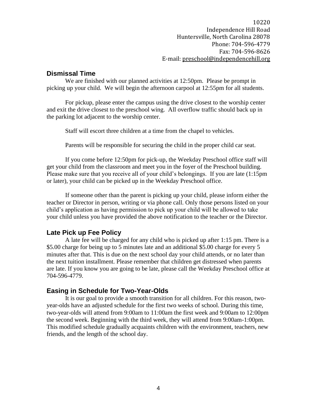#### <span id="page-4-0"></span>**Dismissal Time**

We are finished with our planned activities at 12:50pm. Please be prompt in picking up your child. We will begin the afternoon carpool at 12:55pm for all students.

For pickup, please enter the campus using the drive closest to the worship center and exit the drive closest to the preschool wing. All overflow traffic should back up in the parking lot adjacent to the worship center.

Staff will escort three children at a time from the chapel to vehicles.

Parents will be responsible for securing the child in the proper child car seat.

If you come before 12:50pm for pick-up, the Weekday Preschool office staff will get your child from the classroom and meet you in the foyer of the Preschool building. Please make sure that you receive all of your child's belongings. If you are late (1:15pm or later), your child can be picked up in the Weekday Preschool office.

If someone other than the parent is picking up your child, please inform either the teacher or Director in person, writing or via phone call. Only those persons listed on your child's application as having permission to pick up your child will be allowed to take your child unless you have provided the above notification to the teacher or the Director.

#### <span id="page-4-1"></span>**Late Pick up Fee Policy**

A late fee will be charged for any child who is picked up after 1:15 pm. There is a \$5.00 charge for being up to 5 minutes late and an additional \$5.00 charge for every 5 minutes after that. This is due on the next school day your child attends, or no later than the next tuition installment. Please remember that children get distressed when parents are late. If you know you are going to be late, please call the Weekday Preschool office at 704-596-4779.

#### <span id="page-4-2"></span>**Easing in Schedule for Two-Year-Olds**

It is our goal to provide a smooth transition for all children. For this reason, twoyear-olds have an adjusted schedule for the first two weeks of school. During this time, two-year-olds will attend from 9:00am to 11:00am the first week and 9:00am to 12:00pm the second week. Beginning with the third week, they will attend from 9:00am-1:00pm. This modified schedule gradually acquaints children with the environment, teachers, new friends, and the length of the school day.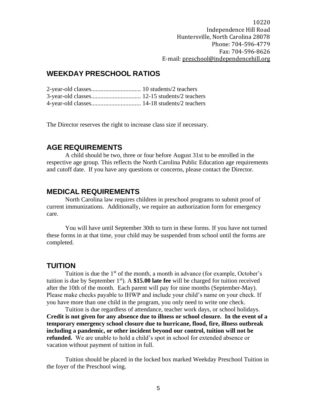## <span id="page-5-0"></span>**WEEKDAY PRESCHOOL RATIOS**

The Director reserves the right to increase class size if necessary.

#### <span id="page-5-1"></span>**AGE REQUIREMENTS**

A child should be two, three or four before August 31st to be enrolled in the respective age group. This reflects the North Carolina Public Education age requirements and cutoff date. If you have any questions or concerns, please contact the Director.

#### <span id="page-5-2"></span>**MEDICAL REQUIREMENTS**

North Carolina law requires children in preschool programs to submit proof of current immunizations. Additionally, we require an authorization form for emergency care.

You will have until September 30th to turn in these forms. If you have not turned these forms in at that time, your child may be suspended from school until the forms are completed.

#### <span id="page-5-3"></span>**TUITION**

Tuition is due the  $1<sup>st</sup>$  of the month, a month in advance (for example, October's tuition is due by September 1st). A **\$15.00 late fee** will be charged for tuition received after the 10th of the month. Each parent will pay for nine months (September-May). Please make checks payable to IHWP and include your child's name on your check. If you have more than one child in the program, you only need to write one check.

Tuition is due regardless of attendance, teacher work days, or school holidays. **Credit is not given for any absence due to illness or school closure. In the event of a temporary emergency school closure due to hurricane, flood, fire, illness outbreak including a pandemic, or other incident beyond our control, tuition will not be refunded.** We are unable to hold a child's spot in school for extended absence or vacation without payment of tuition in full.

Tuition should be placed in the locked box marked Weekday Preschool Tuition in the foyer of the Preschool wing.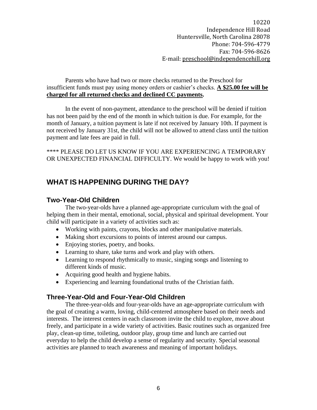Parents who have had two or more checks returned to the Preschool for insufficient funds must pay using money orders or cashier's checks. **A \$25.00 fee will be charged for all returned checks and declined CC payments.** 

In the event of non-payment, attendance to the preschool will be denied if tuition has not been paid by the end of the month in which tuition is due. For example, for the month of January, a tuition payment is late if not received by January 10th. If payment is not received by January 31st, the child will not be allowed to attend class until the tuition payment and late fees are paid in full.

\*\*\*\* PLEASE DO LET US KNOW IF YOU ARE EXPERIENCING A TEMPORARY OR UNEXPECTED FINANCIAL DIFFICULTY. We would be happy to work with you!

#### <span id="page-6-0"></span>**WHAT IS HAPPENING DURING THE DAY?**

#### <span id="page-6-1"></span>**Two-Year-Old Children**

The two-year-olds have a planned age-appropriate curriculum with the goal of helping them in their mental, emotional, social, physical and spiritual development. Your child will participate in a variety of activities such as:

- Working with paints, crayons, blocks and other manipulative materials.
- Making short excursions to points of interest around our campus.
- Enjoying stories, poetry, and books.
- Learning to share, take turns and work and play with others.
- Learning to respond rhythmically to music, singing songs and listening to different kinds of music.
- Acquiring good health and hygiene habits.
- Experiencing and learning foundational truths of the Christian faith.

#### <span id="page-6-2"></span>**Three-Year-Old and Four-Year-Old Children**

The three-year-olds and four-year-olds have an age-appropriate curriculum with the goal of creating a warm, loving, child-centered atmosphere based on their needs and interests. The interest centers in each classroom invite the child to explore, move about freely, and participate in a wide variety of activities. Basic routines such as organized free play, clean-up time, toileting, outdoor play, group time and lunch are carried out everyday to help the child develop a sense of regularity and security. Special seasonal activities are planned to teach awareness and meaning of important holidays.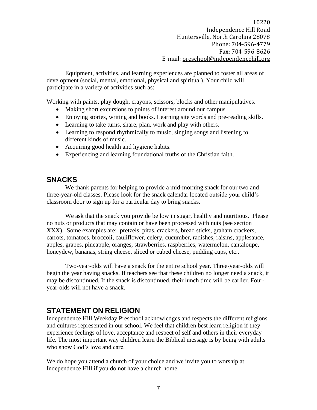Equipment, activities, and learning experiences are planned to foster all areas of development (social, mental, emotional, physical and spiritual). Your child will participate in a variety of activities such as:

Working with paints, play dough, crayons, scissors, blocks and other manipulatives.

- Making short excursions to points of interest around our campus.
- Enjoying stories, writing and books. Learning site words and pre-reading skills.
- Learning to take turns, share, plan, work and play with others.
- Learning to respond rhythmically to music, singing songs and listening to different kinds of music.
- Acquiring good health and hygiene habits.
- Experiencing and learning foundational truths of the Christian faith.

#### <span id="page-7-0"></span>**SNACKS**

We thank parents for helping to provide a mid-morning snack for our two and three-year-old classes. Please look for the snack calendar located outside your child's classroom door to sign up for a particular day to bring snacks.

We ask that the snack you provide be low in sugar, healthy and nutritious. Please no nuts or products that may contain or have been processed with nuts (see section XXX). Some examples are: pretzels, pitas, crackers, bread sticks, graham crackers, carrots, tomatoes, broccoli, cauliflower, celery, cucumber, radishes, raisins, applesauce, apples, grapes, pineapple, oranges, strawberries, raspberries, watermelon, cantaloupe, honeydew, bananas, string cheese, sliced or cubed cheese, pudding cups, etc...

Two-year-olds will have a snack for the entire school year. Three-year-olds will begin the year having snacks. If teachers see that these children no longer need a snack, it may be discontinued. If the snack is discontinued, their lunch time will be earlier. Fouryear-olds will not have a snack.

#### <span id="page-7-1"></span>**STATEMENT ON RELIGION**

Independence Hill Weekday Preschool acknowledges and respects the different religions and cultures represented in our school. We feel that children best learn religion if they experience feelings of love, acceptance and respect of self and others in their everyday life. The most important way children learn the Biblical message is by being with adults who show God's love and care.

We do hope you attend a church of your choice and we invite you to worship at Independence Hill if you do not have a church home.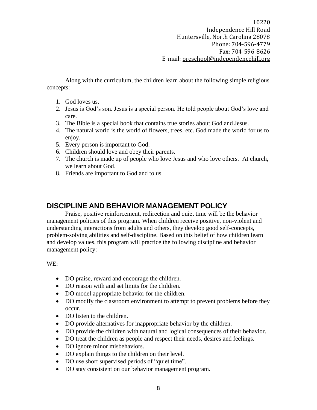Along with the curriculum, the children learn about the following simple religious concepts:

- 1. God loves us.
- 2. Jesus is God's son. Jesus is a special person. He told people about God's love and care.
- 3. The Bible is a special book that contains true stories about God and Jesus.
- 4. The natural world is the world of flowers, trees, etc. God made the world for us to enjoy.
- 5. Every person is important to God.
- 6. Children should love and obey their parents.
- 7. The church is made up of people who love Jesus and who love others. At church, we learn about God.
- 8. Friends are important to God and to us.

#### <span id="page-8-0"></span>**DISCIPLINE AND BEHAVIOR MANAGEMENT POLICY**

Praise, positive reinforcement, redirection and quiet time will be the behavior management policies of this program. When children receive positive, non-violent and understanding interactions from adults and others, they develop good self-concepts, problem-solving abilities and self-discipline. Based on this belief of how children learn and develop values, this program will practice the following discipline and behavior management policy:

WE:

- DO praise, reward and encourage the children.
- DO reason with and set limits for the children.
- DO model appropriate behavior for the children.
- DO modify the classroom environment to attempt to prevent problems before they occur.
- DO listen to the children.
- DO provide alternatives for inappropriate behavior by the children.
- DO provide the children with natural and logical consequences of their behavior.
- DO treat the children as people and respect their needs, desires and feelings.
- DO ignore minor misbehaviors.
- DO explain things to the children on their level.
- DO use short supervised periods of "quiet time".
- DO stay consistent on our behavior management program.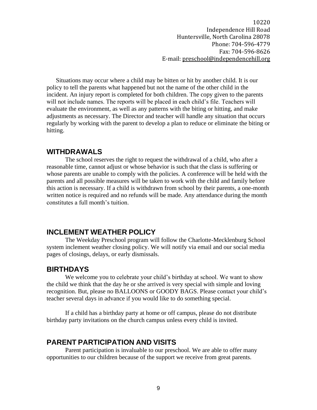Situations may occur where a child may be bitten or hit by another child. It is our policy to tell the parents what happened but not the name of the other child in the incident. An injury report is completed for both children. The copy given to the parents will not include names. The reports will be placed in each child's file. Teachers will evaluate the environment, as well as any patterns with the biting or hitting, and make adjustments as necessary. The Director and teacher will handle any situation that occurs regularly by working with the parent to develop a plan to reduce or eliminate the biting or hitting.

#### <span id="page-9-0"></span>**WITHDRAWALS**

The school reserves the right to request the withdrawal of a child, who after a reasonable time, cannot adjust or whose behavior is such that the class is suffering or whose parents are unable to comply with the policies. A conference will be held with the parents and all possible measures will be taken to work with the child and family before this action is necessary. If a child is withdrawn from school by their parents, a one-month written notice is required and no refunds will be made. Any attendance during the month constitutes a full month's tuition.

#### <span id="page-9-1"></span>**INCLEMENT WEATHER POLICY**

The Weekday Preschool program will follow the Charlotte-Mecklenburg School system inclement weather closing policy. We will notify via email and our social media pages of closings, delays, or early dismissals.

#### <span id="page-9-2"></span>**BIRTHDAYS**

We welcome you to celebrate your child's birthday at school. We want to show the child we think that the day he or she arrived is very special with simple and loving recognition. But, please no BALLOONS or GOODY BAGS. Please contact your child's teacher several days in advance if you would like to do something special.

If a child has a birthday party at home or off campus, please do not distribute birthday party invitations on the church campus unless every child is invited.

#### <span id="page-9-3"></span>**PARENT PARTICIPATION AND VISITS**

Parent participation is invaluable to our preschool. We are able to offer many opportunities to our children because of the support we receive from great parents.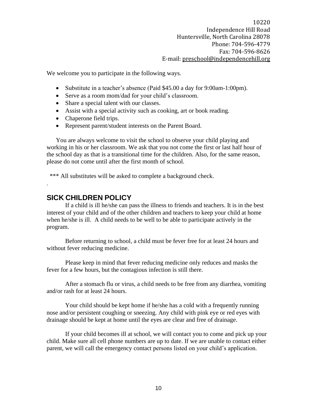We welcome you to participate in the following ways.

- Substitute in a teacher's absence (Paid \$45.00 a day for 9:00am-1:00pm).
- Serve as a room mom/dad for your child's classroom.
- Share a special talent with our classes.
- Assist with a special activity such as cooking, art or book reading.
- Chaperone field trips.
- Represent parent/student interests on the Parent Board.

You are always welcome to visit the school to observe your child playing and working in his or her classroom. We ask that you not come the first or last half hour of the school day as that is a transitional time for the children. Also, for the same reason, please do not come until after the first month of school.

\*\*\* All substitutes will be asked to complete a background check.

#### <span id="page-10-0"></span>**SICK CHILDREN POLICY**

.

If a child is ill he/she can pass the illness to friends and teachers. It is in the best interest of your child and of the other children and teachers to keep your child at home when he/she is ill. A child needs to be well to be able to participate actively in the program.

Before returning to school, a child must be fever free for at least 24 hours and without fever reducing medicine.

Please keep in mind that fever reducing medicine only reduces and masks the fever for a few hours, but the contagious infection is still there.

After a stomach flu or virus, a child needs to be free from any diarrhea, vomiting and/or rash for at least 24 hours.

Your child should be kept home if he/she has a cold with a frequently running nose and/or persistent coughing or sneezing. Any child with pink eye or red eyes with drainage should be kept at home until the eyes are clear and free of drainage.

If your child becomes ill at school, we will contact you to come and pick up your child. Make sure all cell phone numbers are up to date. If we are unable to contact either parent, we will call the emergency contact persons listed on your child's application.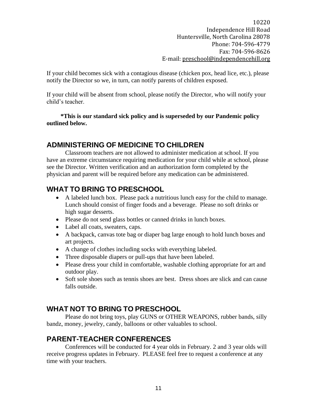If your child becomes sick with a contagious disease (chicken pox, head lice, etc.), please notify the Director so we, in turn, can notify parents of children exposed.

If your child will be absent from school, please notify the Director, who will notify your child's teacher.

 **\*This is our standard sick policy and is superseded by our Pandemic policy outlined below.** 

# <span id="page-11-0"></span>**ADMINISTERING OF MEDICINE TO CHILDREN**

Classroom teachers are not allowed to administer medication at school. If you have an extreme circumstance requiring medication for your child while at school, please see the Director. Written verification and an authorization form completed by the physician and parent will be required before any medication can be administered.

### <span id="page-11-1"></span>**WHAT TO BRING TO PRESCHOOL**

- A labeled lunch box. Please pack a nutritious lunch easy for the child to manage. Lunch should consist of finger foods and a beverage. Please no soft drinks or high sugar desserts.
- Please do not send glass bottles or canned drinks in lunch boxes.
- Label all coats, sweaters, caps.
- A backpack, canvas tote bag or diaper bag large enough to hold lunch boxes and art projects.
- A change of clothes including socks with everything labeled.
- Three disposable diapers or pull-ups that have been labeled.
- Please dress your child in comfortable, washable clothing appropriate for art and outdoor play.
- Soft sole shoes such as tennis shoes are best. Dress shoes are slick and can cause falls outside.

# <span id="page-11-2"></span>**WHAT NOT TO BRING TO PRESCHOOL**

Please do not bring toys, play GUNS or OTHER WEAPONS, rubber bands, silly bandz, money, jewelry, candy, balloons or other valuables to school.

# <span id="page-11-3"></span>**PARENT-TEACHER CONFERENCES**

Conferences will be conducted for 4 year olds in February. 2 and 3 year olds will receive progress updates in February. PLEASE feel free to request a conference at any time with your teachers.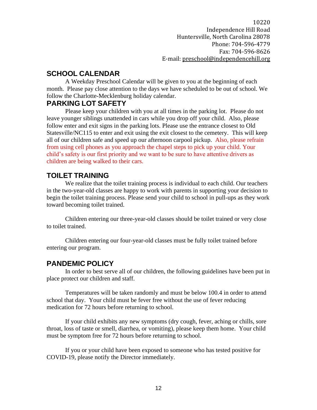# <span id="page-12-0"></span>**SCHOOL CALENDAR**

A Weekday Preschool Calendar will be given to you at the beginning of each month. Please pay close attention to the days we have scheduled to be out of school. We follow the Charlotte-Mecklenburg holiday calendar.

# <span id="page-12-1"></span>**PARKING LOT SAFETY**

Please keep your children with you at all times in the parking lot. Please do not leave younger siblings unattended in cars while you drop off your child. Also, please follow enter and exit signs in the parking lots. Please use the entrance closest to Old Statesville/NC115 to enter and exit using the exit closest to the cemetery. This will keep all of our children safe and speed up our afternoon carpool pickup. Also, please refrain from using cell phones as you approach the chapel steps to pick up your child. Your child's safety is our first priority and we want to be sure to have attentive drivers as children are being walked to their cars.

# <span id="page-12-2"></span>**TOILET TRAINING**

We realize that the toilet training process is individual to each child. Our teachers in the two-year-old classes are happy to work with parents in supporting your decision to begin the toilet training process. Please send your child to school in pull-ups as they work toward becoming toilet trained.

Children entering our three-year-old classes should be toilet trained or very close to toilet trained.

Children entering our four-year-old classes must be fully toilet trained before entering our program.

# <span id="page-12-3"></span>**PANDEMIC POLICY**

In order to best serve all of our children, the following guidelines have been put in place protect our children and staff.

Temperatures will be taken randomly and must be below 100.4 in order to attend school that day. Your child must be fever free without the use of fever reducing medication for 72 hours before returning to school.

If your child exhibits any new symptoms (dry cough, fever, aching or chills, sore throat, loss of taste or smell, diarrhea, or vomiting), please keep them home. Your child must be symptom free for 72 hours before returning to school.

If you or your child have been exposed to someone who has tested positive for COVID-19, please notify the Director immediately.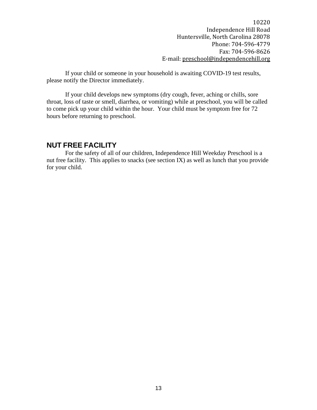If your child or someone in your household is awaiting COVID-19 test results, please notify the Director immediately.

If your child develops new symptoms (dry cough, fever, aching or chills, sore throat, loss of taste or smell, diarrhea, or vomiting) while at preschool, you will be called to come pick up your child within the hour. Your child must be symptom free for 72 hours before returning to preschool.

#### <span id="page-13-0"></span>**NUT FREE FACILITY**

For the safety of all of our children, Independence Hill Weekday Preschool is a nut free facility. This applies to snacks (see section IX) as well as lunch that you provide for your child.